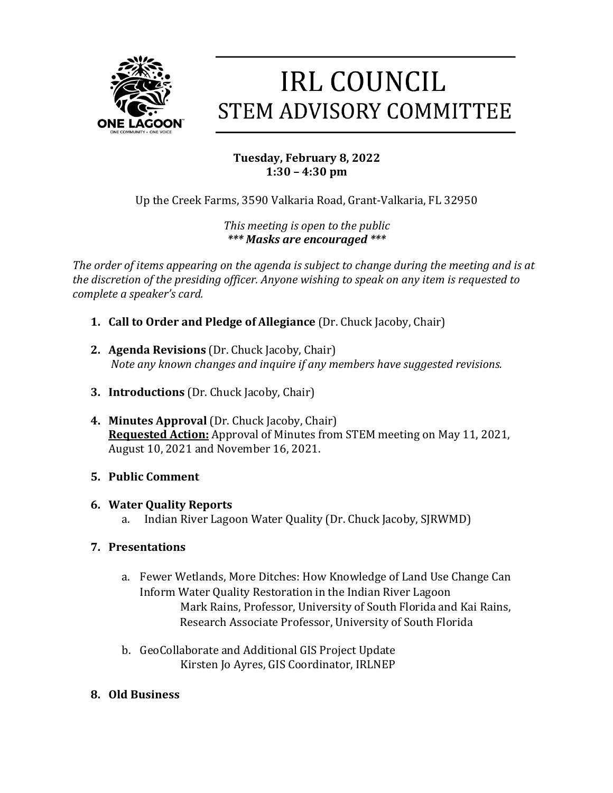

# **IRL COUNCIL STEM ADVISORY COMMITTEE**

## **Tuesday, February 8, 2022 1:30 – 4:30 pm**

Up the Creek Farms, 3590 Valkaria Road, Grant-Valkaria, FL 32950

*This meeting is open to the public \*\*\* Masks are encouraged \*\*\**

The order of items appearing on the agenda is subject to change during the meeting and is at *the discretion of the presiding officer. Anyone wishing to speak on any item is requested to complete a speaker's card.* 

- **1. Call to Order and Pledge of Allegiance** (Dr. Chuck Jacoby, Chair)
- **2. Agenda Revisions** (Dr. Chuck Jacoby, Chair) *Note any known changes and inquire if any members have suggested revisions.*
- **3. Introductions** (Dr. Chuck Jacoby, Chair)
- **4. Minutes Approval** (Dr. Chuck Jacoby, Chair) **Requested Action:** Approval of Minutes from STEM meeting on May 11, 2021, August 10, 2021 and November 16, 2021.
- **5. Public Comment**
- **6. Water Quality Reports**
	- a. Indian River Lagoon Water Quality (Dr. Chuck Jacoby, SJRWMD)
- **7. Presentations**
	- a. Fewer Wetlands, More Ditches: How Knowledge of Land Use Change Can Inform Water Quality Restoration in the Indian River Lagoon Mark Rains, Professor, University of South Florida and Kai Rains, Research Associate Professor, University of South Florida
	- b. GeoCollaborate and Additional GIS Project Update Kirsten Jo Ayres, GIS Coordinator, IRLNEP
- **8. Old Business**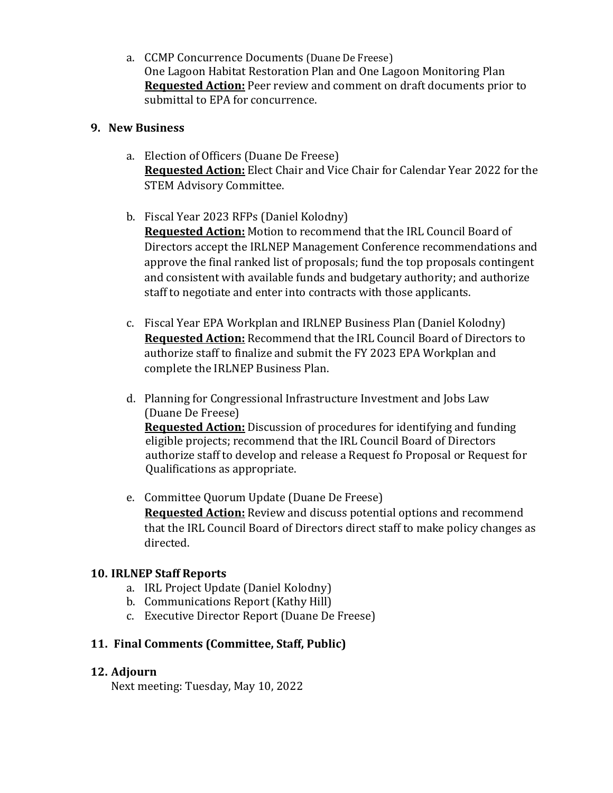a. CCMP Concurrence Documents (Duane De Freese) One Lagoon Habitat Restoration Plan and One Lagoon Monitoring Plan **Requested Action:** Peer review and comment on draft documents prior to submittal to EPA for concurrence.

### **9. New Business**

- a. Election of Officers (Duane De Freese) **Requested Action:** Elect Chair and Vice Chair for Calendar Year 2022 for the STEM Advisory Committee.
- b. Fiscal Year 2023 RFPs (Daniel Kolodny)

**Requested Action:** Motion to recommend that the IRL Council Board of Directors accept the IRLNEP Management Conference recommendations and approve the final ranked list of proposals; fund the top proposals contingent and consistent with available funds and budgetary authority; and authorize staff to negotiate and enter into contracts with those applicants.

- c. Fiscal Year EPA Workplan and IRLNEP Business Plan (Daniel Kolodny) **Requested Action:** Recommend that the IRL Council Board of Directors to authorize staff to finalize and submit the FY 2023 EPA Workplan and complete the IRLNEP Business Plan.
- d. Planning for Congressional Infrastructure Investment and Jobs Law (Duane De Freese) **Requested Action:** Discussion of procedures for identifying and funding eligible projects; recommend that the IRL Council Board of Directors authorize staff to develop and release a Request fo Proposal or Request for Qualifications as appropriate.
- e. Committee Quorum Update (Duane De Freese) **Requested Action:** Review and discuss potential options and recommend that the IRL Council Board of Directors direct staff to make policy changes as directed.

### **10. IRLNEP Staff Reports**

- a. IRL Project Update (Daniel Kolodny)
- b. Communications Report (Kathy Hill)
- c. Executive Director Report (Duane De Freese)

### 11. Final Comments (Committee, Staff, Public)

### 12. Adjourn

Next meeting: Tuesday, May 10, 2022